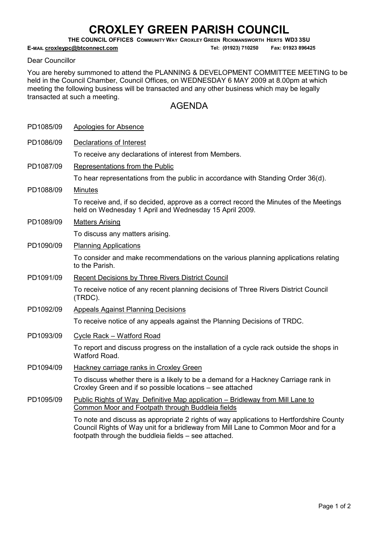## CROXLEY GREEN PARISH COUNCIL

THE COUNCIL OFFICES COMMUNITY WAY CROXLEY GREEN RICKMANSWORTH HERTS WD3 3SU

E-MAIL croxleypc@btconnect.com <br>
Tel: (01923) 710250 Fax: 01923 896425

## Dear Councillor

You are hereby summoned to attend the PLANNING & DEVELOPMENT COMMITTEE MEETING to be held in the Council Chamber, Council Offices, on WEDNESDAY 6 MAY 2009 at 8.00pm at which meeting the following business will be transacted and any other business which may be legally transacted at such a meeting.

## AGENDA

| PD1085/09 | <b>Apologies for Absence</b>                                                                                                                                                                                                          |
|-----------|---------------------------------------------------------------------------------------------------------------------------------------------------------------------------------------------------------------------------------------|
| PD1086/09 | Declarations of Interest                                                                                                                                                                                                              |
|           | To receive any declarations of interest from Members.                                                                                                                                                                                 |
| PD1087/09 | Representations from the Public                                                                                                                                                                                                       |
|           | To hear representations from the public in accordance with Standing Order 36(d).                                                                                                                                                      |
| PD1088/09 | <b>Minutes</b>                                                                                                                                                                                                                        |
|           | To receive and, if so decided, approve as a correct record the Minutes of the Meetings<br>held on Wednesday 1 April and Wednesday 15 April 2009.                                                                                      |
| PD1089/09 | <b>Matters Arising</b>                                                                                                                                                                                                                |
|           | To discuss any matters arising.                                                                                                                                                                                                       |
| PD1090/09 | <b>Planning Applications</b>                                                                                                                                                                                                          |
|           | To consider and make recommendations on the various planning applications relating<br>to the Parish.                                                                                                                                  |
| PD1091/09 | Recent Decisions by Three Rivers District Council                                                                                                                                                                                     |
|           | To receive notice of any recent planning decisions of Three Rivers District Council<br>(TRDC).                                                                                                                                        |
| PD1092/09 | <b>Appeals Against Planning Decisions</b>                                                                                                                                                                                             |
|           | To receive notice of any appeals against the Planning Decisions of TRDC.                                                                                                                                                              |
| PD1093/09 | Cycle Rack - Watford Road                                                                                                                                                                                                             |
|           | To report and discuss progress on the installation of a cycle rack outside the shops in<br>Watford Road.                                                                                                                              |
| PD1094/09 | Hackney carriage ranks in Croxley Green                                                                                                                                                                                               |
|           | To discuss whether there is a likely to be a demand for a Hackney Carriage rank in<br>Croxley Green and if so possible locations - see attached                                                                                       |
| PD1095/09 | Public Rights of Way Definitive Map application - Bridleway from Mill Lane to<br>Common Moor and Footpath through Buddleia fields                                                                                                     |
|           | To note and discuss as appropriate 2 rights of way applications to Hertfordshire County<br>Council Rights of Way unit for a bridleway from Mill Lane to Common Moor and for a<br>footpath through the buddleia fields - see attached. |